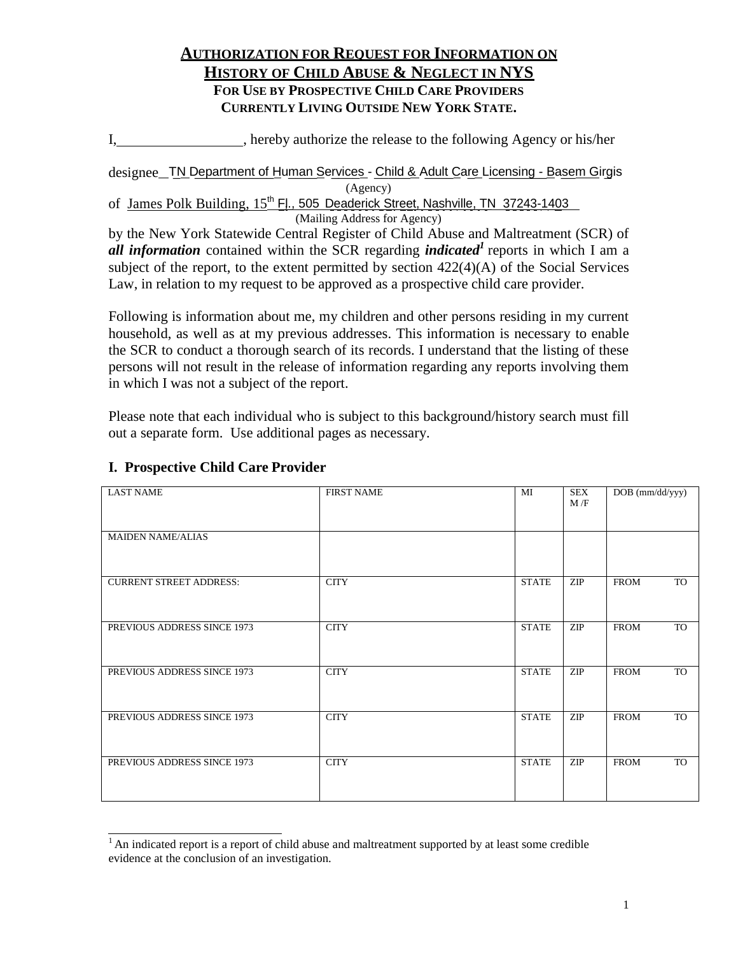## **AUTHORIZATION FOR REQUEST FOR INFORMATION ON HISTORY OF CHILD ABUSE & NEGLECT IN NYS FOR USE BY PROSPECTIVE CHILD CARE PROVIDERS CURRENTLY LIVING OUTSIDE NEW YORK STATE.**

I, hereby authorize the release to the following Agency or his/her

designee\_TN Department of Human Services - Child & Adult Care Licensing - Basem Girgis (Agency)

of James Polk Building, 15<sup>th</sup> Fl., 505 Deaderick Street, Nashville, TN 37243-1403 (Mailing Address for Agency)

by the New York Statewide Central Register of Child Abuse and Maltreatment (SCR) of *all information* contained within the SCR regarding *indicated<sup>1</sup>*reports in which I am a subject of the report, to the extent permitted by section  $422(4)(A)$  of the Social Services Law, in relation to my request to be approved as a prospective child care provider.

Following is information about me, my children and other persons residing in my current household, as well as at my previous addresses. This information is necessary to enable the SCR to conduct a thorough search of its records. I understand that the listing of these persons will not result in the release of information regarding any reports involving them in which I was not a subject of the report.

Please note that each individual who is subject to this background/history search must fill out a separate form. Use additional pages as necessary.

| <b>LAST NAME</b>               | <b>FIRST NAME</b> | MI           | <b>SEX</b><br>M/F | DOB (mm/dd/yyy)          |
|--------------------------------|-------------------|--------------|-------------------|--------------------------|
| <b>MAIDEN NAME/ALIAS</b>       |                   |              |                   |                          |
| <b>CURRENT STREET ADDRESS:</b> | <b>CITY</b>       | <b>STATE</b> | <b>ZIP</b>        | <b>FROM</b><br><b>TO</b> |
| PREVIOUS ADDRESS SINCE 1973    | <b>CITY</b>       | <b>STATE</b> | ZIP               | <b>FROM</b><br>TO        |
| PREVIOUS ADDRESS SINCE 1973    | <b>CITY</b>       | <b>STATE</b> | ZIP               | <b>FROM</b><br>TO        |
| PREVIOUS ADDRESS SINCE 1973    | <b>CITY</b>       | <b>STATE</b> | <b>ZIP</b>        | <b>FROM</b><br><b>TO</b> |
| PREVIOUS ADDRESS SINCE 1973    | <b>CITY</b>       | <b>STATE</b> | ZIP               | <b>FROM</b><br>TO        |

### **I. Prospective Child Care Provider**

<sup>&</sup>lt;sup>1</sup> An indicated report is a report of child abuse and maltreatment supported by at least some credible evidence at the conclusion of an investigation.